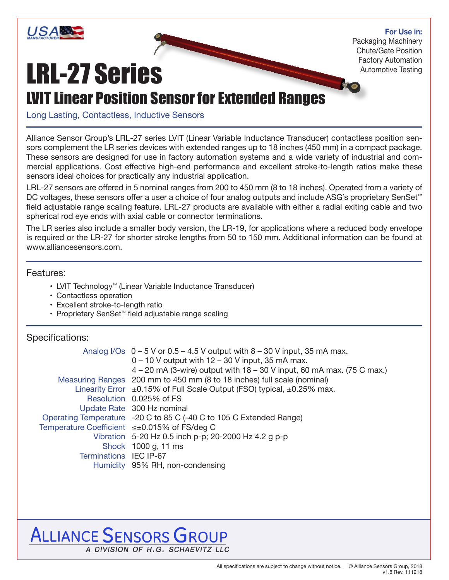

#### **For Use in:**

Packaging Machinery Chute/Gate Position Factory Automation Automotive Testing

# LRL-27 Series

## LVIT Linear Position Sensor for Extended Ranges

Long Lasting, Contactless, Inductive Sensors

Alliance Sensor Group's LRL-27 series LVIT (Linear Variable Inductance Transducer) contactless position sensors complement the LR series devices with extended ranges up to 18 inches (450 mm) in a compact package. These sensors are designed for use in factory automation systems and a wide variety of industrial and commercial applications. Cost effective high-end performance and excellent stroke-to-length ratios make these sensors ideal choices for practically any industrial application.

LRL-27 sensors are offered in 5 nominal ranges from 200 to 450 mm (8 to 18 inches). Operated from a variety of DC voltages, these sensors offer a user a choice of four analog outputs and include ASG's proprietary SenSet<sup>™</sup> field adjustable range scaling feature. LRL-27 products are available with either a radial exiting cable and two spherical rod eye ends with axial cable or connector terminations.

The LR series also include a smaller body version, the LR-19, for applications where a reduced body envelope is required or the LR-27 for shorter stroke lengths from 50 to 150 mm. Additional information can be found at www.alliancesensors.com.

#### Features:

- LVIT Technology™ (Linear Variable Inductance Transducer)
- Contactless operation
- Excellent stroke-to-length ratio
- Proprietary SenSet™ field adjustable range scaling

#### Specifications:

|                        | Analog I/Os $0 - 5$ V or 0.5 – 4.5 V output with 8 – 30 V input, 35 mA max.        |  |  |  |  |
|------------------------|------------------------------------------------------------------------------------|--|--|--|--|
|                        | $0 - 10$ V output with $12 - 30$ V input, 35 mA max.                               |  |  |  |  |
|                        | 4 – 20 mA (3-wire) output with 18 – 30 V input, 60 mA max. (75 C max.)             |  |  |  |  |
|                        | Measuring Ranges 200 mm to 450 mm (8 to 18 inches) full scale (nominal)            |  |  |  |  |
|                        | Linearity Error $\pm 0.15\%$ of Full Scale Output (FSO) typical, $\pm 0.25\%$ max. |  |  |  |  |
|                        | Resolution 0.025% of FS                                                            |  |  |  |  |
|                        | Update Rate 300 Hz nominal                                                         |  |  |  |  |
|                        | Operating Temperature -20 C to 85 C (-40 C to 105 C Extended Range)                |  |  |  |  |
|                        | Temperature Coefficient ≤±0.015% of FS/deg C                                       |  |  |  |  |
|                        | Vibration 5-20 Hz 0.5 inch p-p; 20-2000 Hz 4.2 g p-p                               |  |  |  |  |
|                        | Shock 1000 g, 11 ms                                                                |  |  |  |  |
| Terminations IEC IP-67 |                                                                                    |  |  |  |  |
|                        | Humidity 95% RH, non-condensing                                                    |  |  |  |  |
|                        |                                                                                    |  |  |  |  |

### **ALLIANCE SENSORS GROUP** A DIVISION OF H.G. SCHAEVITZ LLC